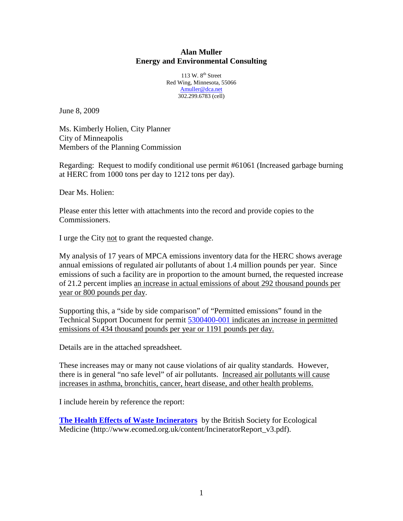## **Alan Muller Energy and Environmental Consulting**

 $113 \text{ W}$   $8^{\text{th}}$  Street Red Wing, Minnesota, 55066 Amuller@dca.net 302.299.6783 (cell)

June 8, 2009

Ms. Kimberly Holien, City Planner City of Minneapolis Members of the Planning Commission

Regarding: Request to modify conditional use permit #61061 (Increased garbage burning at HERC from 1000 tons per day to 1212 tons per day).

Dear Ms. Holien:

Please enter this letter with attachments into the record and provide copies to the Commissioners.

I urge the City not to grant the requested change.

My analysis of 17 years of MPCA emissions inventory data for the HERC shows average annual emissions of regulated air pollutants of about 1.4 million pounds per year. Since emissions of such a facility are in proportion to the amount burned, the requested increase of 21.2 percent implies an increase in actual emissions of about 292 thousand pounds per year or 800 pounds per day.

Supporting this, a "side by side comparison" of "Permitted emissions" found in the Technical Support Document for permit 5300400-001 indicates an increase in permitted emissions of 434 thousand pounds per year or 1191 pounds per day.

Details are in the attached spreadsheet.

These increases may or many not cause violations of air quality standards. However, there is in general "no safe level" of air pollutants. Increased air pollutants will cause increases in asthma, bronchitis, cancer, heart disease, and other health problems.

I include herein by reference the report:

**The Health Effects of Waste Incinerators** by the British Society for Ecological Medicine (http://www.ecomed.org.uk/content/IncineratorReport\_v3.pdf).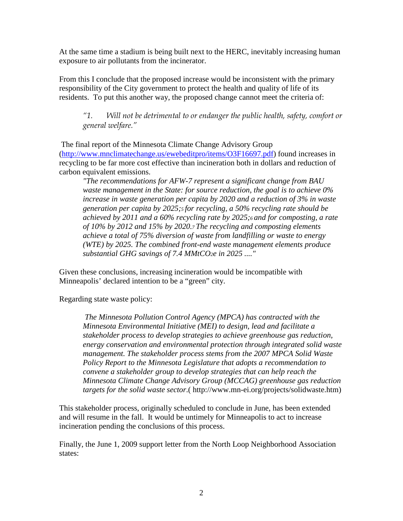At the same time a stadium is being built next to the HERC, inevitably increasing human exposure to air pollutants from the incinerator.

From this I conclude that the proposed increase would be inconsistent with the primary responsibility of the City government to protect the health and quality of life of its residents. To put this another way, the proposed change cannot meet the criteria of:

*"1. Will not be detrimental to or endanger the public health, safety, comfort or general welfare."* 

The final report of the Minnesota Climate Change Advisory Group (http://www.mnclimatechange.us/ewebeditpro/items/O3F16697.pdf) found increases in recycling to be far more cost effective than incineration both in dollars and reduction of carbon equivalent emissions.

*"The recommendations for AFW-7 represent a significant change from BAU waste management in the State: for source reduction, the goal is to achieve 0% increase in waste generation per capita by 2020 and a reduction of 3% in waste generation per capita by 2025;5 for recycling, a 50% recycling rate should be achieved by 2011 and a 60% recycling rate by 2025;6 and for composting, a rate of 10% by 2012 and 15% by 2020.7 The recycling and composting elements achieve a total of 75% diversion of waste from landfilling or waste to energy (WTE) by 2025. The combined front-end waste management elements produce substantial GHG savings of 7.4 MMtCO2e in 2025 ...."*

Given these conclusions, increasing incineration would be incompatible with Minneapolis' declared intention to be a "green" city.

Regarding state waste policy:

 *The Minnesota Pollution Control Agency (MPCA) has contracted with the Minnesota Environmental Initiative (MEI) to design, lead and facilitate a stakeholder process to develop strategies to achieve greenhouse gas reduction, energy conservation and environmental protection through integrated solid waste management. The stakeholder process stems from the 2007 MPCA Solid Waste Policy Report to the Minnesota Legislature that adopts a recommendation to convene a stakeholder group to develop strategies that can help reach the Minnesota Climate Change Advisory Group (MCCAG) greenhouse gas reduction targets for the solid waste sector*.( http://www.mn-ei.org/projects/solidwaste.htm)

This stakeholder process, originally scheduled to conclude in June, has been extended and will resume in the fall. It would be untimely for Minneapolis to act to increase incineration pending the conclusions of this process.

Finally, the June 1, 2009 support letter from the North Loop Neighborhood Association states: